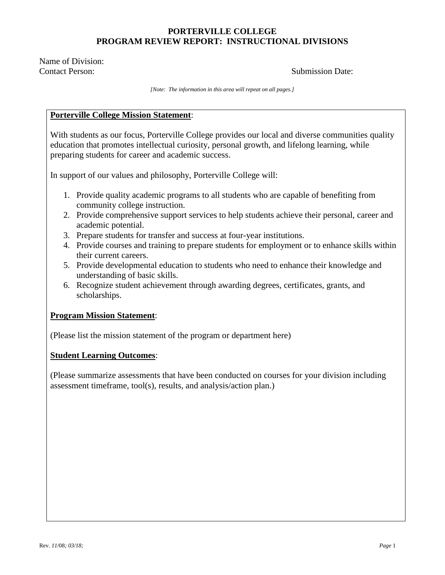Name of Division: Contact Person: Submission Date:

*[Note: The information in this area will repeat on all pages.]*

### **Porterville College Mission Statement**:

With students as our focus, Porterville College provides our local and diverse communities quality education that promotes intellectual curiosity, personal growth, and lifelong learning, while preparing students for career and academic success.

In support of our values and philosophy, Porterville College will:

- 1. Provide quality academic programs to all students who are capable of benefiting from community college instruction.
- 2. Provide comprehensive support services to help students achieve their personal, career and academic potential.
- 3. Prepare students for transfer and success at four-year institutions.
- 4. Provide courses and training to prepare students for employment or to enhance skills within their current careers.
- 5. Provide developmental education to students who need to enhance their knowledge and understanding of basic skills.
- 6. Recognize student achievement through awarding degrees, certificates, grants, and scholarships.

### **Program Mission Statement**:

(Please list the mission statement of the program or department here)

### **Student Learning Outcomes**:

(Please summarize assessments that have been conducted on courses for your division including assessment timeframe, tool(s), results, and analysis/action plan.)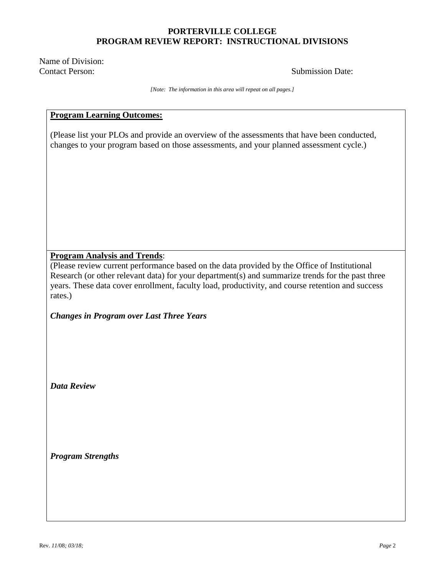Name of Division: Contact Person: Submission Date:

*[Note: The information in this area will repeat on all pages.]*

### **Program Learning Outcomes:**

(Please list your PLOs and provide an overview of the assessments that have been conducted, changes to your program based on those assessments, and your planned assessment cycle.)

### **Program Analysis and Trends**:

(Please review current performance based on the data provided by the Office of Institutional Research (or other relevant data) for your department(s) and summarize trends for the past three years. These data cover enrollment, faculty load, productivity, and course retention and success rates.)

*Changes in Program over Last Three Years*

*Data Review*

*Program Strengths*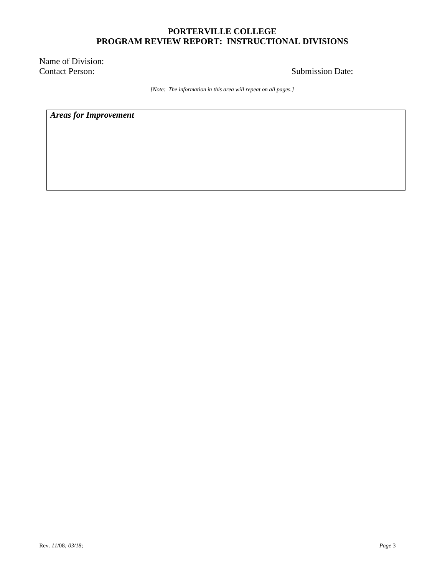Name of Division: Contact Person: Submission Date:

*[Note: The information in this area will repeat on all pages.]*

*Areas for Improvement*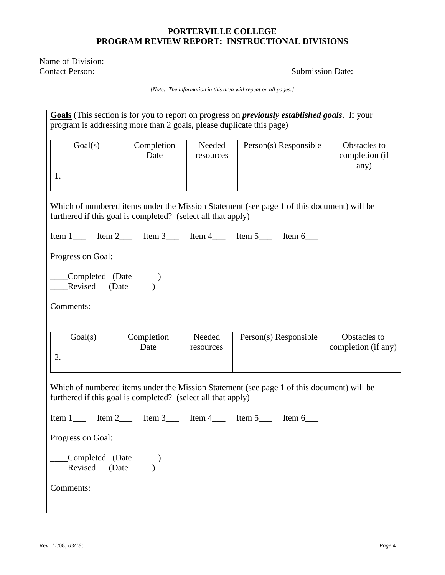Name of Division: Contact Person: Submission Date:

*[Note: The information in this area will repeat on all pages.]*

| program is addressing more than 2 goals, please duplicate this page)                                                                                      |                    |                     | Goals (This section is for you to report on progress on <i>previously established goals</i> . If your |                                        |
|-----------------------------------------------------------------------------------------------------------------------------------------------------------|--------------------|---------------------|-------------------------------------------------------------------------------------------------------|----------------------------------------|
| Goal(s)                                                                                                                                                   | Completion<br>Date | Needed<br>resources | Person(s) Responsible                                                                                 | Obstacles to<br>completion (if<br>any) |
| 1.                                                                                                                                                        |                    |                     |                                                                                                       |                                        |
| furthered if this goal is completed? (select all that apply)                                                                                              |                    |                     | Which of numbered items under the Mission Statement (see page 1 of this document) will be             |                                        |
|                                                                                                                                                           |                    |                     |                                                                                                       |                                        |
| Progress on Goal:                                                                                                                                         |                    |                     |                                                                                                       |                                        |
| __Completed (Date<br>Revised (Date                                                                                                                        |                    |                     |                                                                                                       |                                        |
| Comments:                                                                                                                                                 |                    |                     |                                                                                                       |                                        |
| Goal(s)                                                                                                                                                   | Completion<br>Date | Needed<br>resources | Person(s) Responsible                                                                                 | Obstacles to<br>completion (if any)    |
| 2.                                                                                                                                                        |                    |                     |                                                                                                       |                                        |
| Which of numbered items under the Mission Statement (see page 1 of this document) will be<br>furthered if this goal is completed? (select all that apply) |                    |                     |                                                                                                       |                                        |
|                                                                                                                                                           |                    |                     |                                                                                                       |                                        |
| Progress on Goal:                                                                                                                                         |                    |                     |                                                                                                       |                                        |
| Completed (Date<br>Revised<br>(Date                                                                                                                       |                    |                     |                                                                                                       |                                        |
| Comments:                                                                                                                                                 |                    |                     |                                                                                                       |                                        |
|                                                                                                                                                           |                    |                     |                                                                                                       |                                        |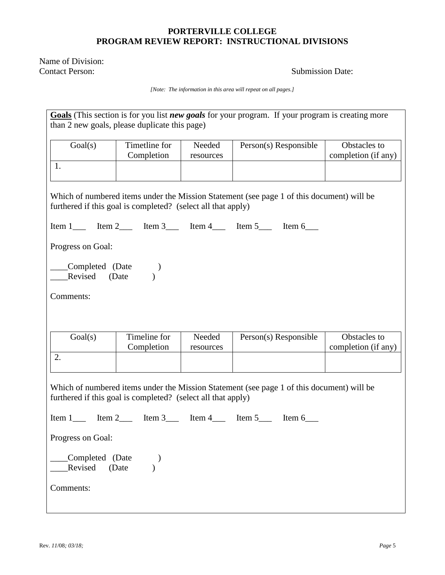Name of Division: Contact Person: Submission Date:

*[Note: The information in this area will repeat on all pages.]*

| Goals (This section is for you list new goals for your program. If your program is creating more<br>than 2 new goals, please duplicate this page)         |                             |                     |                                                                                           |                                     |
|-----------------------------------------------------------------------------------------------------------------------------------------------------------|-----------------------------|---------------------|-------------------------------------------------------------------------------------------|-------------------------------------|
| Goal(s)<br>1.                                                                                                                                             | Timetline for<br>Completion | Needed<br>resources | Person(s) Responsible                                                                     | Obstacles to<br>completion (if any) |
|                                                                                                                                                           |                             |                     |                                                                                           |                                     |
| furthered if this goal is completed? (select all that apply)                                                                                              |                             |                     | Which of numbered items under the Mission Statement (see page 1 of this document) will be |                                     |
|                                                                                                                                                           |                             |                     |                                                                                           |                                     |
| Progress on Goal:                                                                                                                                         |                             |                     |                                                                                           |                                     |
| __Completed (Date<br>Revised (Date                                                                                                                        |                             |                     |                                                                                           |                                     |
| Comments:                                                                                                                                                 |                             |                     |                                                                                           |                                     |
|                                                                                                                                                           |                             |                     |                                                                                           |                                     |
| Goal(s)                                                                                                                                                   | Timeline for<br>Completion  | Needed<br>resources | Person(s) Responsible                                                                     | Obstacles to<br>completion (if any) |
| 2.                                                                                                                                                        |                             |                     |                                                                                           |                                     |
| Which of numbered items under the Mission Statement (see page 1 of this document) will be<br>furthered if this goal is completed? (select all that apply) |                             |                     |                                                                                           |                                     |
|                                                                                                                                                           |                             |                     |                                                                                           |                                     |
| Progress on Goal:                                                                                                                                         |                             |                     |                                                                                           |                                     |
| Completed (Date<br>Revised<br>(Date                                                                                                                       |                             |                     |                                                                                           |                                     |
| Comments:                                                                                                                                                 |                             |                     |                                                                                           |                                     |

 $\mathsf{l}$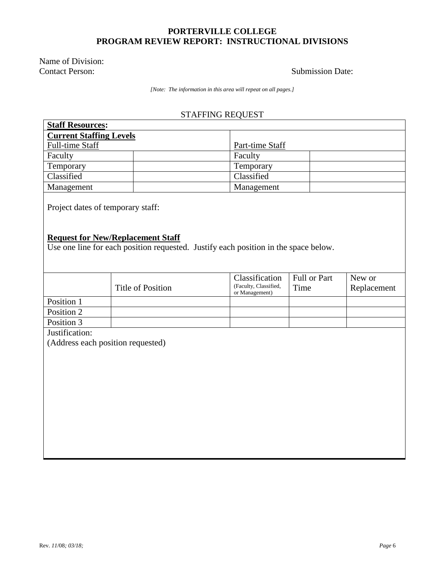Name of Division: Contact Person: Submission Date:

*[Note: The information in this area will repeat on all pages.]*

# STAFFING REQUEST

| <b>Staff Resources:</b>           |                                                                                                                                 |                                                           |                      |                       |  |
|-----------------------------------|---------------------------------------------------------------------------------------------------------------------------------|-----------------------------------------------------------|----------------------|-----------------------|--|
| <b>Current Staffing Levels</b>    |                                                                                                                                 |                                                           |                      |                       |  |
| Full-time Staff                   |                                                                                                                                 | Part-time Staff                                           |                      |                       |  |
| Faculty                           |                                                                                                                                 | Faculty                                                   |                      |                       |  |
| Temporary                         |                                                                                                                                 | Temporary                                                 |                      |                       |  |
| Classified                        |                                                                                                                                 | Classified                                                |                      |                       |  |
| Management                        |                                                                                                                                 | Management                                                |                      |                       |  |
| Project dates of temporary staff: |                                                                                                                                 |                                                           |                      |                       |  |
|                                   | <b>Request for New/Replacement Staff</b><br>Use one line for each position requested. Justify each position in the space below. |                                                           |                      |                       |  |
|                                   |                                                                                                                                 |                                                           |                      |                       |  |
|                                   | <b>Title of Position</b>                                                                                                        | Classification<br>(Faculty, Classified,<br>or Management) | Full or Part<br>Time | New or<br>Replacement |  |
| Position 1                        |                                                                                                                                 |                                                           |                      |                       |  |
| Position 2                        |                                                                                                                                 |                                                           |                      |                       |  |
| Position 3                        |                                                                                                                                 |                                                           |                      |                       |  |
| Justification:                    |                                                                                                                                 |                                                           |                      |                       |  |
|                                   | (Address each position requested)                                                                                               |                                                           |                      |                       |  |
|                                   |                                                                                                                                 |                                                           |                      |                       |  |
|                                   |                                                                                                                                 |                                                           |                      |                       |  |
|                                   |                                                                                                                                 |                                                           |                      |                       |  |
|                                   |                                                                                                                                 |                                                           |                      |                       |  |
|                                   |                                                                                                                                 |                                                           |                      |                       |  |
|                                   |                                                                                                                                 |                                                           |                      |                       |  |
|                                   |                                                                                                                                 |                                                           |                      |                       |  |
|                                   |                                                                                                                                 |                                                           |                      |                       |  |
|                                   |                                                                                                                                 |                                                           |                      |                       |  |
|                                   |                                                                                                                                 |                                                           |                      |                       |  |
|                                   |                                                                                                                                 |                                                           |                      |                       |  |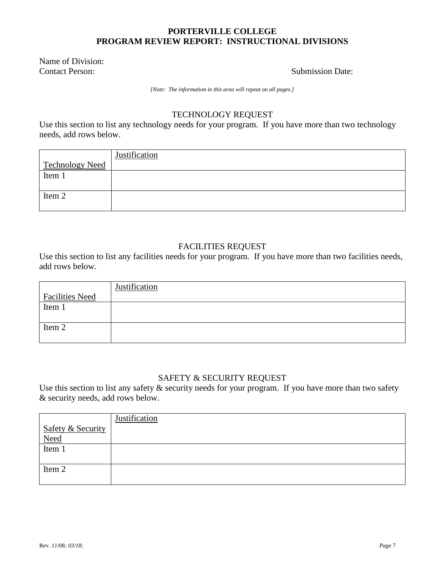Name of Division: Contact Person: Submission Date:

*[Note: The information in this area will repeat on all pages.]*

### TECHNOLOGY REQUEST

Use this section to list any technology needs for your program. If you have more than two technology needs, add rows below.

|                 | Justification |
|-----------------|---------------|
| Technology Need |               |
| Item 1          |               |
|                 |               |
| Item 2          |               |
|                 |               |

### FACILITIES REQUEST

Use this section to list any facilities needs for your program. If you have more than two facilities needs, add rows below.

|                        | Justification |
|------------------------|---------------|
| <b>Facilities Need</b> |               |
| Item 1                 |               |
|                        |               |
| Item 2                 |               |
|                        |               |

# SAFETY & SECURITY REQUEST

Use this section to list any safety  $\&$  security needs for your program. If you have more than two safety & security needs, add rows below.

|                                                | Justification |
|------------------------------------------------|---------------|
| <b>Safety &amp; Security</b>                   |               |
| $\frac{\overline{\text{Need}}}{\text{Item 1}}$ |               |
|                                                |               |
|                                                |               |
| Item 2                                         |               |
|                                                |               |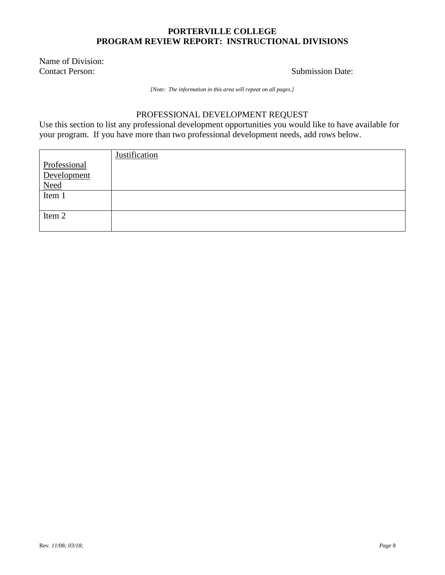Name of Division: Contact Person: Submission Date:

*[Note: The information in this area will repeat on all pages.]*

# PROFESSIONAL DEVELOPMENT REQUEST

Use this section to list any professional development opportunities you would like to have available for your program. If you have more than two professional development needs, add rows below.

|                                                 | Justification |
|-------------------------------------------------|---------------|
| Professional                                    |               |
| Development                                     |               |
| $\frac{\overline{\text{Need}}}{\text{Item } 1}$ |               |
|                                                 |               |
|                                                 |               |
| Item 2                                          |               |
|                                                 |               |